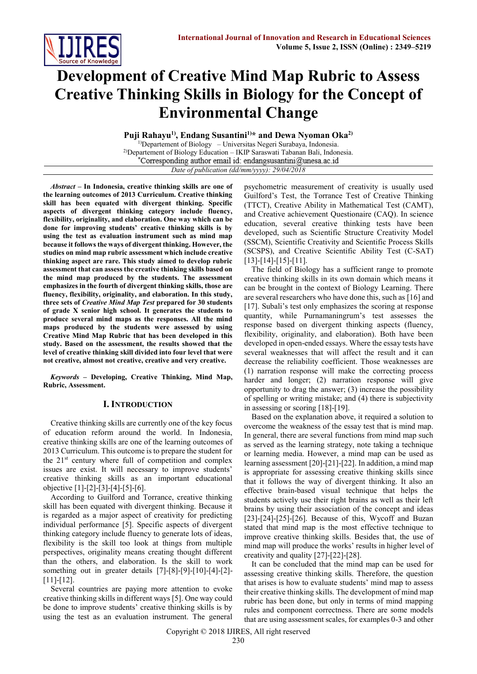

# **Development of Creative Mind Map Rubric to Assess Creative Thinking Skills in Biology for the Concept of Environmental Change**

**Puji Rahayu1), Endang Susantini1)\* and Dewa Nyoman Oka2)**

<sup>1)</sup>Departement of Biology – Universitas Negeri Surabaya, Indonesia. <sup>2)</sup>Departement of Biology Education – IKIP Saraswati Tabanan Bali, Indonesia.<br>
\*Corresponding author email id: endangsusantini@unesa.ac.id *Date of publication (dd/mm/yyyy): 29/04/2018*

*Abstract* **– In Indonesia, creative thinking skills are one of the learning outcomes of 2013 Curriculum. Creative thinking skill has been equated with divergent thinking. Specific aspects of divergent thinking category include fluency, flexibility, originality, and elaboration. One way which can be done for improving students' creative thinking skills is by using the test as evaluation instrument such as mind map because it follows the ways of divergent thinking. However, the studies on mind map rubric assessment which include creative thinking aspect are rare. This study aimed to develop rubric assessment that can assess the creative thinking skills based on the mind map produced by the students. The assessment emphasizes in the fourth of divergent thinking skills, those are fluency, flexibility, originality, and elaboration. In this study, three sets of** *Creative Mind Map Test* **prepared for 30 students of grade X senior high school. It generates the students to produce several mind maps as the responses. All the mind maps produced by the students were assessed by using Creative Mind Map Rubric that has been developed in this study. Based on the assessment, the results showed that the level of creative thinking skill divided into four level that were not creative, almost not creative, creative and very creative.**

*Keywords* **– Developing, Creative Thinking, Mind Map, Rubric, Assessment.** 

# **I. INTRODUCTION**

Creative thinking skills are currently one of the key focus of education reform around the world. In Indonesia, creative thinking skills are one of the learning outcomes of 2013 Curriculum. This outcome is to prepare the student for the  $21<sup>st</sup>$  century where full of competition and complex issues are exist. It will necessary to improve students' creative thinking skills as an important educational objective [1]-[2]-[3]-[4]-[5]-[6].

According to Guilford and Torrance, creative thinking skill has been equated with divergent thinking. Because it is regarded as a major aspect of creativity for predicting individual performance [5]. Specific aspects of divergent thinking category include fluency to generate lots of ideas, flexibility is the skill too look at things from multiple perspectives, originality means creating thought different than the others, and elaboration. Is the skill to work something out in greater details [7]-[8]-[9]-[10]-[4]-[2]- [11]-[12].

Several countries are paying more attention to evoke creative thinking skills in different ways [5]. One way could be done to improve students' creative thinking skills is by using the test as an evaluation instrument. The general psychometric measurement of creativity is usually used Guilford's Test, the Torrance Test of Creative Thinking (TTCT), Creative Ability in Mathematical Test (CAMT), and Creative achievement Questionaire (CAQ). In science education, several creative thinking tests have been developed, such as Scientific Structure Creativity Model (SSCM), Scientific Creativity and Scientific Process Skills (SCSPS), and Creative Scientific Ability Test (C-SAT) [13]-[14]-[15]-[11].

The field of Biology has a sufficient range to promote creative thinking skills in its own domain which means it can be brought in the context of Biology Learning. There are several researchers who have done this, such as [16] and [17]. Subali's test only emphasizes the scoring at response quantity, while Purnamaningrum's test assesses the response based on divergent thinking aspects (fluency, flexibility, originality, and elaboration). Both have been developed in open-ended essays. Where the essay tests have several weaknesses that will affect the result and it can decrease the reliability coefficient. Those weaknesses are (1) narration response will make the correcting process harder and longer; (2) narration response will give opportunity to drag the answer; (3) increase the possibility of spelling or writing mistake; and (4) there is subjectivity in assessing or scoring [18]-[19].

Based on the explanation above, it required a solution to overcome the weakness of the essay test that is mind map. In general, there are several functions from mind map such as served as the learning strategy, note taking a technique or learning media. However, a mind map can be used as learning assessment [20]-[21]-[22]. In addition, a mind map is appropriate for assessing creative thinking skills since that it follows the way of divergent thinking. It also an effective brain-based visual technique that helps the students actively use their right brains as well as their left brains by using their association of the concept and ideas  $[23]-[24]-[25]-[26]$ . Because of this, Wycoff and Buzan stated that mind map is the most effective technique to improve creative thinking skills. Besides that, the use of mind map will produce the works' results in higher level of creativity and quality [27]-[22]-[28].

It can be concluded that the mind map can be used for assessing creative thinking skills. Therefore, the question that arises is how to evaluate students' mind map to assess their creative thinking skills. The development of mind map rubric has been done, but only in terms of mind mapping rules and component correctness. There are some models that are using assessment scales, for examples 0-3 and other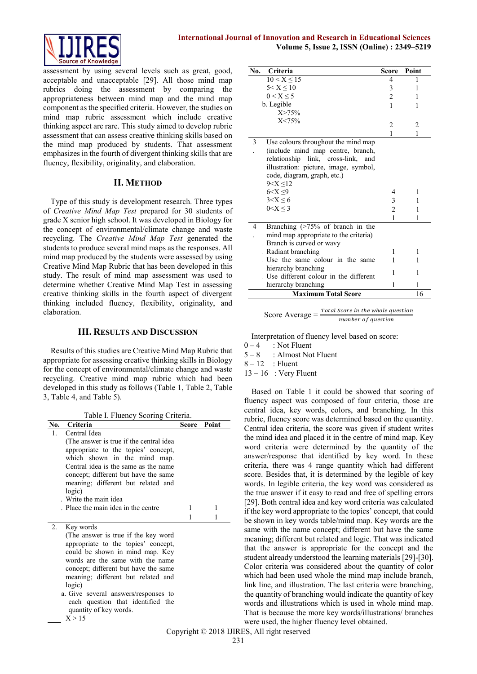

assessment by using several levels such as great, good, acceptable and unacceptable [29]. All those mind map rubrics doing the assessment by comparing the appropriateness between mind map and the mind map component as the specified criteria. However, the studies on mind map rubric assessment which include creative thinking aspect are rare. This study aimed to develop rubric assessment that can assess creative thinking skills based on the mind map produced by students. That assessment emphasizes in the fourth of divergent thinking skills that are fluency, flexibility, originality, and elaboration.

## **II. METHOD**

Type of this study is development research. Three types of *Creative Mind Map Test* prepared for 30 students of grade X senior high school. It was developed in Biology for the concept of environmental/climate change and waste recycling. The *Creative Mind Map Test* generated the students to produce several mind maps as the responses. All mind map produced by the students were assessed by using Creative Mind Map Rubric that has been developed in this study. The result of mind map assessment was used to determine whether Creative Mind Map Test in assessing creative thinking skills in the fourth aspect of divergent thinking included fluency, flexibility, originality, and elaboration.

# **III. RESULTS AND DISCUSSION**

Results of this studies are Creative Mind Map Rubric that appropriate for assessing creative thinking skills in Biology for the concept of environmental/climate change and waste recycling. Creative mind map rubric which had been developed in this study as follows (Table 1, Table 2, Table 3, Table 4, and Table 5).

Table I. Fluency Scoring Criteria.

| No. | Criteria                                |   | Score Point |
|-----|-----------------------------------------|---|-------------|
| 1.  | Central Idea                            |   |             |
|     | (The answer is true if the central idea |   |             |
|     | appropriate to the topics' concept,     |   |             |
|     | which shown in the mind map.            |   |             |
|     | Central idea is the same as the name    |   |             |
|     | concept; different but have the same    |   |             |
|     | meaning; different but related and      |   |             |
|     | logic)                                  |   |             |
|     | Write the main idea                     |   |             |
|     | . Place the main idea in the centre     | 1 | 1           |
|     |                                         |   | 1           |
| 2.  | Key words                               |   |             |
|     | (The answer is true if the key word     |   |             |
|     | appropriate to the topics' concept,     |   |             |
|     | could be shown in mind map. Key         |   |             |
|     | words are the same with the name        |   |             |
|     | concept; different but have the same    |   |             |
|     | meaning; different but related and      |   |             |
|     | logic)                                  |   |             |
|     | a. Give several answers/responses to    |   |             |
|     | each question that identified the       |   |             |
|     | quantity of key words.                  |   |             |
|     | X > 15                                  |   |             |

| No. Criteria                                                                                                                                                                                                                                          | Score                         | Point            |
|-------------------------------------------------------------------------------------------------------------------------------------------------------------------------------------------------------------------------------------------------------|-------------------------------|------------------|
| $10 < X \le 15$                                                                                                                                                                                                                                       | $\overline{4}$                |                  |
| $5 < X \leq 10$                                                                                                                                                                                                                                       | 3                             | 1                |
| 0 < X < 5                                                                                                                                                                                                                                             | $\overline{c}$                | 1                |
| b. Legible                                                                                                                                                                                                                                            | 1                             | 1                |
| X > 75%                                                                                                                                                                                                                                               |                               |                  |
| X < 75%                                                                                                                                                                                                                                               | 2                             | 2                |
|                                                                                                                                                                                                                                                       | 1                             | 1                |
| 3<br>Use colours throughout the mind map<br>(include mind map centre, branch,<br>relationship link, cross-link, and<br>illustration: picture, image, symbol,<br>code, diagram, graph, etc.)<br>9 < X < 12<br>$6 < X \leq 9$<br>3 < X < 6<br>0 < X < 3 | 4<br>3<br>$\overline{c}$<br>1 | 1<br>1<br>1<br>1 |
| Branching $($ >75% of branch in the<br>4<br>mind map appropriate to the criteria)<br>Branch is curved or wavy                                                                                                                                         |                               |                  |
| Radiant branching                                                                                                                                                                                                                                     | 1                             | 1                |
| Use the same colour in the same                                                                                                                                                                                                                       | 1                             | 1                |
| hierarchy branching<br>Use different colour in the different                                                                                                                                                                                          | 1                             | 1                |
| hierarchy branching                                                                                                                                                                                                                                   | 1                             | 1                |
| <b>Maximum Total Score</b>                                                                                                                                                                                                                            |                               | 16               |

| Score Average $=$ | Total Score in the whole question |
|-------------------|-----------------------------------|
|                   | number of question                |

Interpretation of fluency level based on score:

- $0 4$  : Not Fluent
- $5 8$  : Almost Not Fluent
- $8 12$ : Fluent
- $13 16$  : Very Fluent

Based on Table 1 it could be showed that scoring of fluency aspect was composed of four criteria, those are central idea, key words, colors, and branching. In this rubric, fluency score was determined based on the quantity. Central idea criteria, the score was given if student writes the mind idea and placed it in the centre of mind map. Key word criteria were determined by the quantity of the answer/response that identified by key word. In these criteria, there was 4 range quantity which had different score. Besides that, it is determined by the legible of key words. In legible criteria, the key word was considered as the true answer if it easy to read and free of spelling errors [29]. Both central idea and key word criteria was calculated if the key word appropriate to the topics' concept, that could be shown in key words table/mind map. Key words are the same with the name concept; different but have the same meaning; different but related and logic. That was indicated that the answer is appropriate for the concept and the student already understood the learning materials [29]-[30]. Color criteria was considered about the quantity of color which had been used whole the mind map include branch, link line, and illustration. The last criteria were branching, the quantity of branching would indicate the quantity of key words and illustrations which is used in whole mind map. That is because the more key words/illustrations/ branches were used, the higher fluency level obtained.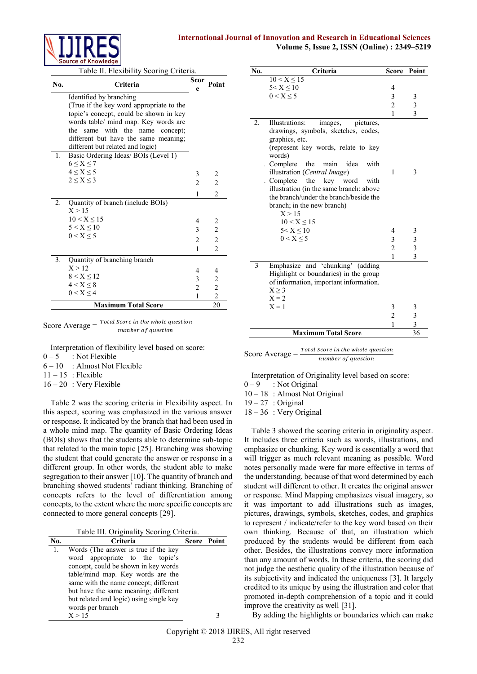## **International Journal of Innovation and Research in Educational Sciences Volume 5, Issue 2, ISSN (Online) : 2349–5219**



Table II. Flexibility Scoring Criteria.

| No.                              | Criteria                                                                   | Scor<br>e      | Point          |  |  |  |  |
|----------------------------------|----------------------------------------------------------------------------|----------------|----------------|--|--|--|--|
|                                  | Identified by branching                                                    |                |                |  |  |  |  |
|                                  | (True if the key word appropriate to the                                   |                |                |  |  |  |  |
|                                  | topic's concept, could be shown in key                                     |                |                |  |  |  |  |
|                                  | words table/ mind map. Key words are                                       |                |                |  |  |  |  |
|                                  | same with the name concept;<br>the<br>different but have the same meaning; |                |                |  |  |  |  |
|                                  | different but related and logic)                                           |                |                |  |  |  |  |
| 1.                               | Basic Ordering Ideas/ BOIs (Level 1)                                       |                |                |  |  |  |  |
|                                  | $6 \leq X \leq 7$                                                          |                |                |  |  |  |  |
|                                  | 4 < X < 5                                                                  | 3              | 2              |  |  |  |  |
|                                  | $2 \leq X \leq 3$                                                          | $\overline{c}$ | 2              |  |  |  |  |
|                                  |                                                                            | 1              | $\overline{c}$ |  |  |  |  |
| 2.                               | Quantity of branch (include BOIs)                                          |                |                |  |  |  |  |
|                                  | X > 15                                                                     |                |                |  |  |  |  |
|                                  | $10 < X \le 15$                                                            | 4              | 2              |  |  |  |  |
|                                  | 5 < X < 10                                                                 | 3              | $\overline{c}$ |  |  |  |  |
|                                  | 0 < X < 5                                                                  | $\overline{c}$ | 2              |  |  |  |  |
|                                  |                                                                            | 1              | $\mathfrak{D}$ |  |  |  |  |
| 3.                               | Quantity of branching branch                                               |                |                |  |  |  |  |
|                                  | X > 12                                                                     | 4              | 4              |  |  |  |  |
|                                  | 8 < X < 12                                                                 | 3              | 2              |  |  |  |  |
|                                  | 4 < X < 8                                                                  | $\overline{c}$ | $\overline{c}$ |  |  |  |  |
|                                  | 0 < X < 4                                                                  | 1              | $\overline{2}$ |  |  |  |  |
| 20<br><b>Maximum Total Score</b> |                                                                            |                |                |  |  |  |  |



Interpretation of flexibility level based on score:

 $0 - 5$  : Not Flexible

- $6 10$  : Almost Not Flexible
- $11 15$ : Flexible

 $16 - 20$ : Very Flexible

Table 2 was the scoring criteria in Flexibility aspect. In this aspect, scoring was emphasized in the various answer or response. It indicated by the branch that had been used in a whole mind map. The quantity of Basic Ordering Ideas (BOIs) shows that the students able to determine sub-topic that related to the main topic [25]. Branching was showing the student that could generate the answer or response in a different group. In other words, the student able to make segregation to their answer [10]. The quantity of branch and branching showed students' radiant thinking. Branching of concepts refers to the level of differentiation among concepts, to the extent where the more specific concepts are connected to more general concepts [29].

Table III. Originality Scoring Criteria.

| No. | Criteria                                | <b>Score Point</b> |  |  |  |  |
|-----|-----------------------------------------|--------------------|--|--|--|--|
| -1. | Words (The answer is true if the key    |                    |  |  |  |  |
|     | word appropriate to the topic's         |                    |  |  |  |  |
|     | concept, could be shown in key words    |                    |  |  |  |  |
|     | table/mind map. Key words are the       |                    |  |  |  |  |
|     | same with the name concept; different   |                    |  |  |  |  |
|     | but have the same meaning; different    |                    |  |  |  |  |
|     | but related and logic) using single key |                    |  |  |  |  |
|     | words per branch                        |                    |  |  |  |  |
|     | X > 15                                  |                    |  |  |  |  |

| No. | Criteria                                                                                                                                                                                                                                                                                                                                                                                                 | Score          | Point                   |
|-----|----------------------------------------------------------------------------------------------------------------------------------------------------------------------------------------------------------------------------------------------------------------------------------------------------------------------------------------------------------------------------------------------------------|----------------|-------------------------|
|     | $10 < X \le 15$                                                                                                                                                                                                                                                                                                                                                                                          |                |                         |
|     | $5 < X \leq 10$                                                                                                                                                                                                                                                                                                                                                                                          | 4              |                         |
|     | $0 < X \leq 5$                                                                                                                                                                                                                                                                                                                                                                                           | 3              | 3                       |
|     |                                                                                                                                                                                                                                                                                                                                                                                                          | $\overline{c}$ | 3                       |
|     |                                                                                                                                                                                                                                                                                                                                                                                                          | 1              | 3                       |
| 2.  | Illustrations:<br>images,<br>pictures,<br>drawings, symbols, sketches, codes,<br>graphics, etc.<br>(represent key words, relate to key<br>words)<br>idea<br>with<br>Complete<br>the<br>main<br>illustration (Central Image)<br>Complete the key word<br>with<br>illustration (in the same branch: above<br>the branch/under the branch/beside the<br>branch; in the new branch)<br>X > 15<br>10 < X < 15 | 1              | 3                       |
|     | 5 < X < 10                                                                                                                                                                                                                                                                                                                                                                                               | 4              |                         |
|     | $0 < X \leq 5$                                                                                                                                                                                                                                                                                                                                                                                           | 3              | $\frac{3}{3}$           |
|     |                                                                                                                                                                                                                                                                                                                                                                                                          | $\overline{c}$ | $\overline{\mathbf{3}}$ |
|     |                                                                                                                                                                                                                                                                                                                                                                                                          | $\mathbf{1}$   | 3                       |
| 3   | Emphasize and 'chunking' (adding<br>Highlight or boundaries) in the group<br>of information, important information.<br>$X \geq 3$<br>$X = 2$                                                                                                                                                                                                                                                             |                |                         |
|     | $X = 1$                                                                                                                                                                                                                                                                                                                                                                                                  | 3              | 3                       |
|     |                                                                                                                                                                                                                                                                                                                                                                                                          | $\overline{c}$ | 3                       |
|     |                                                                                                                                                                                                                                                                                                                                                                                                          | 1              | $\overline{\mathbf{3}}$ |
|     | <b>Maximum Total Score</b>                                                                                                                                                                                                                                                                                                                                                                               |                | 36                      |

Score Average  $=$   $\frac{Total Score}{in the whole question}$ number of question

Interpretation of Originality level based on score:

 $0 - 9$  : Not Original

10 – 18 : Almost Not Original

 $19 - 27$  : Original

18 – 36 : Very Original

Table 3 showed the scoring criteria in originality aspect. It includes three criteria such as words, illustrations, and emphasize or chunking. Key word is essentially a word that will trigger as much relevant meaning as possible. Word notes personally made were far more effective in terms of the understanding, because of that word determined by each student will different to other. It creates the original answer or response. Mind Mapping emphasizes visual imagery, so it was important to add illustrations such as images, pictures, drawings, symbols, sketches, codes, and graphics to represent / indicate/refer to the key word based on their own thinking. Because of that, an illustration which produced by the students would be different from each other. Besides, the illustrations convey more information than any amount of words. In these criteria, the scoring did not judge the aesthetic quality of the illustration because of its subjectivity and indicated the uniqueness [3]. It largely credited to its unique by using the illustration and color that promoted in-depth comprehension of a topic and it could improve the creativity as well [31].

By adding the highlights or boundaries which can make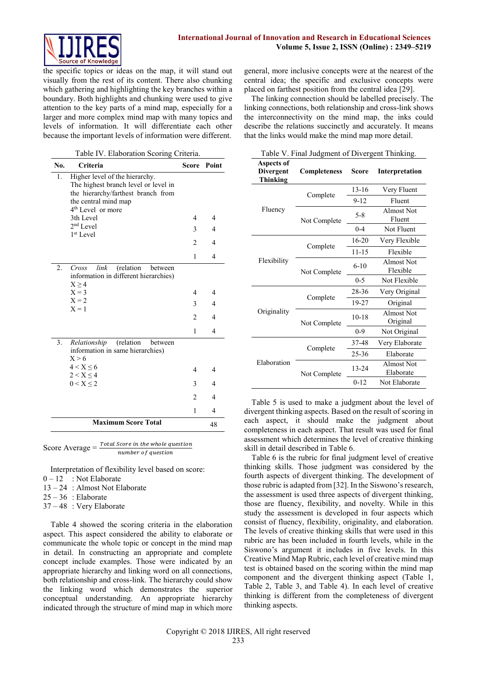

the specific topics or ideas on the map, it will stand out visually from the rest of its content. There also chunking which gathering and highlighting the key branches within a boundary. Both highlights and chunking were used to give attention to the key parts of a mind map, especially for a larger and more complex mind map with many topics and levels of information. It will differentiate each other because the important levels of information were different.

| Table IV. Elaboration Scoring Criteria. |                                                                                                                                                                       |                |                |  |  |  |
|-----------------------------------------|-----------------------------------------------------------------------------------------------------------------------------------------------------------------------|----------------|----------------|--|--|--|
| No.                                     | Criteria                                                                                                                                                              | Score          | Point          |  |  |  |
| 1.                                      | Higher level of the hierarchy.<br>The highest branch level or level in<br>the hierarchy/farthest branch from<br>the central mind map<br>4 <sup>th</sup> Level or more |                |                |  |  |  |
|                                         | 3th Level                                                                                                                                                             | $\overline{4}$ | $\overline{4}$ |  |  |  |
|                                         | $2nd$ Level                                                                                                                                                           | 3              | $\overline{4}$ |  |  |  |
|                                         | 1 <sup>st</sup> Level                                                                                                                                                 | $\mathfrak{D}$ | $\overline{4}$ |  |  |  |
|                                         |                                                                                                                                                                       | 1              | 4              |  |  |  |
| 2.                                      | (relation<br>link<br>Cross<br>between<br>information in different hierarchies)<br>$X \geq 4$                                                                          |                |                |  |  |  |
|                                         | $X = 3$                                                                                                                                                               | 4              | 4              |  |  |  |
|                                         | $X = 2$<br>$X = 1$                                                                                                                                                    | 3              | $\overline{4}$ |  |  |  |
|                                         |                                                                                                                                                                       | $\mathfrak{D}$ | 4              |  |  |  |
|                                         |                                                                                                                                                                       | 1              | 4              |  |  |  |
| 3.                                      | Relationship<br>(relation<br>between<br>information in same hierarchies)<br>X > 6                                                                                     |                |                |  |  |  |
|                                         | 4 < X < 6<br>$2 < X \leq 4$                                                                                                                                           | 4              | 4              |  |  |  |
|                                         | $0 < X \leq 2$                                                                                                                                                        | 3              | 4              |  |  |  |
|                                         |                                                                                                                                                                       | $\overline{2}$ | $\overline{4}$ |  |  |  |
|                                         |                                                                                                                                                                       | 1              | 4              |  |  |  |
|                                         | <b>Maximum Score Total</b>                                                                                                                                            |                | 48             |  |  |  |
|                                         |                                                                                                                                                                       |                |                |  |  |  |

Score Average  $=$   $\frac{Total Score}{number of question}$ 

Interpretation of flexibility level based on score:

- $0 12$  : Not Elaborate
- 13 24 : Almost Not Elaborate
- $25 36$  : Elaborate
- 37 48 : Very Elaborate

Table 4 showed the scoring criteria in the elaboration aspect. This aspect considered the ability to elaborate or communicate the whole topic or concept in the mind map in detail. In constructing an appropriate and complete concept include examples. Those were indicated by an appropriate hierarchy and linking word on all connections, both relationship and cross-link. The hierarchy could show the linking word which demonstrates the superior conceptual understanding. An appropriate hierarchy indicated through the structure of mind map in which more

general, more inclusive concepts were at the nearest of the central idea; the specific and exclusive concepts were placed on farthest position from the central idea [29].

The linking connection should be labelled precisely. The linking connections, both relationship and cross-link shows the interconnectivity on the mind map, the inks could describe the relations succinctly and accurately. It means that the links would make the mind map more detail.

| <b>Aspects of</b><br><b>Divergent</b><br><b>Completeness</b><br>Score<br>Interpretation<br><b>Thinking</b><br>$13 - 16$<br>Very Fluent<br>Complete<br>$9 - 12$<br>Fluent |  |
|--------------------------------------------------------------------------------------------------------------------------------------------------------------------------|--|
|                                                                                                                                                                          |  |
|                                                                                                                                                                          |  |
|                                                                                                                                                                          |  |
| Fluency<br>Almost Not<br>$5 - 8$<br>Fluent<br>Not Complete                                                                                                               |  |
| $0 - 4$<br>Not Fluent                                                                                                                                                    |  |
| $16 - 20$<br>Very Flexible                                                                                                                                               |  |
| Complete<br>$11 - 15$<br>Flexible                                                                                                                                        |  |
| Flexibility<br>Almost Not<br>$6 - 10$<br>Flexible<br>Not Complete                                                                                                        |  |
| $0 - 5$<br>Not Flexible                                                                                                                                                  |  |
| 28-36<br>Very Original                                                                                                                                                   |  |
| Complete<br>19-27<br>Original                                                                                                                                            |  |
| Originality<br>Almost Not<br>$10 - 18$<br>Original<br>Not Complete                                                                                                       |  |
| $0 - 9$<br>Not Original                                                                                                                                                  |  |
| 37-48<br>Very Elaborate                                                                                                                                                  |  |
| Complete<br>25-36<br>Elaborate                                                                                                                                           |  |
| Elaboration<br>Almost Not<br>13-24<br>Elaborate<br>Not Complete                                                                                                          |  |
| $0 - 12$<br>Not Elaborate                                                                                                                                                |  |

Table 5 is used to make a judgment about the level of divergent thinking aspects. Based on the result of scoring in each aspect, it should make the judgment about completeness in each aspect. That result was used for final assessment which determines the level of creative thinking skill in detail described in Table 6.

Table 6 is the rubric for final judgment level of creative thinking skills. Those judgment was considered by the fourth aspects of divergent thinking. The development of those rubric is adapted from [32]. In the Siswono's research, the assessment is used three aspects of divergent thinking, those are fluency, flexibility, and novelty. While in this study the assessment is developed in four aspects which consist of fluency, flexibility, originality, and elaboration. The levels of creative thinking skills that were used in this rubric are has been included in fourth levels, while in the Siswono's argument it includes in five levels. In this Creative Mind Map Rubric, each level of creative mind map test is obtained based on the scoring within the mind map component and the divergent thinking aspect (Table 1, Table 2, Table 3, and Table 4). In each level of creative thinking is different from the completeness of divergent thinking aspects.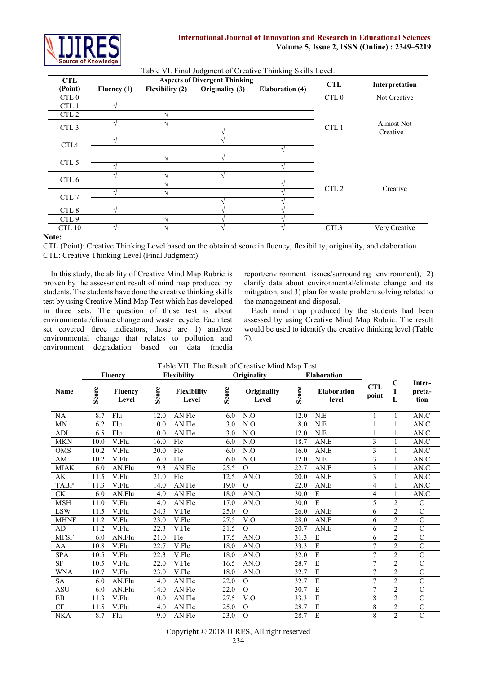

| Table VI. Final Judgment of Creative Thinking Skills Level. |             |                        |                                      |                        |                  |                |  |  |
|-------------------------------------------------------------|-------------|------------------------|--------------------------------------|------------------------|------------------|----------------|--|--|
| <b>CTL</b>                                                  |             |                        | <b>Aspects of Divergent Thinking</b> |                        | <b>CTL</b>       | Interpretation |  |  |
| (Point)                                                     | Fluency (1) | <b>Flexibility (2)</b> | Originality (3)                      | <b>Elaboration</b> (4) |                  |                |  |  |
| CTL <sub>0</sub>                                            |             |                        |                                      |                        | CTL <sub>0</sub> | Not Creative   |  |  |
| CTL <sub>1</sub>                                            |             |                        |                                      |                        |                  |                |  |  |
| CTL <sub>2</sub>                                            |             |                        |                                      |                        |                  |                |  |  |
|                                                             |             |                        |                                      |                        |                  | Almost Not     |  |  |
| CTL <sub>3</sub>                                            |             |                        |                                      |                        | CTL <sub>1</sub> | Creative       |  |  |
|                                                             |             |                        |                                      |                        |                  |                |  |  |
| CTL <sub>4</sub>                                            |             |                        |                                      |                        |                  |                |  |  |
|                                                             |             |                        |                                      |                        |                  |                |  |  |
| CTL <sub>5</sub>                                            |             |                        |                                      |                        |                  |                |  |  |
|                                                             |             |                        |                                      |                        |                  |                |  |  |
| CTL 6                                                       |             |                        |                                      |                        |                  |                |  |  |
|                                                             |             |                        |                                      |                        | CTL <sub>2</sub> | Creative       |  |  |
| CTL 7                                                       |             |                        |                                      |                        |                  |                |  |  |
| CTL 8                                                       |             |                        |                                      |                        |                  |                |  |  |
| CTL <sub>9</sub>                                            |             |                        |                                      |                        |                  |                |  |  |
| CTL 10                                                      |             |                        |                                      |                        | CTL3             | Very Creative  |  |  |

#### Table VI. Final Judgment of Creative Thinking Skills Level.

#### **Note:**

CTL (Point): Creative Thinking Level based on the obtained score in fluency, flexibility, originality, and elaboration CTL: Creative Thinking Level (Final Judgment)

In this study, the ability of Creative Mind Map Rubric is proven by the assessment result of mind map produced by students. The students have done the creative thinking skills test by using Creative Mind Map Test which has developed in three sets. The question of those test is about environmental/climate change and waste recycle. Each test set covered three indicators, those are 1) analyze environmental change that relates to pollution and environment degradation based on data (media

report/environment issues/surrounding environment), 2) clarify data about environmental/climate change and its mitigation, and 3) plan for waste problem solving related to the management and disposal.

Each mind map produced by the students had been assessed by using Creative Mind Map Rubric. The result would be used to identify the creative thinking level (Table 7).

| Table VII. The Result of Creative Mind Map Test. |       |                         |       |                             |       |                      |       |                             |                         |                       |                          |
|--------------------------------------------------|-------|-------------------------|-------|-----------------------------|-------|----------------------|-------|-----------------------------|-------------------------|-----------------------|--------------------------|
|                                                  |       | <b>Fluency</b>          |       | <b>Flexibility</b>          |       | Originality          |       | <b>Elaboration</b>          |                         |                       |                          |
| <b>Name</b>                                      | Score | <b>Fluency</b><br>Level | Score | <b>Flexibility</b><br>Level | Score | Originality<br>Level | Score | <b>Elaboration</b><br>level | <b>CTL</b><br>point     | $\mathbf C$<br>T<br>L | Inter-<br>preta-<br>tion |
| NA                                               | 8.7   | Flu                     | 12.0  | AN.Fle                      | 6.0   | N.O                  | 12.0  | N.E                         | 1                       |                       | AN.C                     |
| <b>MN</b>                                        | 6.2   | Flu                     | 10.0  | AN.Fle                      | 3.0   | N.O                  | 8.0   | N.E                         | 1                       | 1                     | AN.C                     |
| <b>ADI</b>                                       | 6.5   | Flu                     | 10.0  | AN.Fle                      | 3.0   | N.O                  | 12.0  | N.E                         |                         |                       | AN.C                     |
| <b>MKN</b>                                       | 10.0  | V.Flu                   | 16.0  | Fle                         | 6.0   | N.O                  | 18.7  | AN.E                        | 3                       |                       | AN.C                     |
| <b>OMS</b>                                       | 10.2  | V.Flu                   | 20.0  | Fle                         | 6.0   | N.O                  | 16.0  | AN.E                        | 3                       |                       | AN.C                     |
| AM                                               | 10.2  | V.Flu                   | 16.0  | Fle                         | 6.0   | N.O                  | 12.0  | N.E                         | 3                       |                       | AN.C                     |
| <b>MIAK</b>                                      | 6.0   | AN.Flu                  | 9.3   | AN.Fle                      | 25.5  | $\Omega$             | 22.7  | AN.E                        | 3                       |                       | AN.C                     |
| AK                                               | 11.5  | V.Flu                   | 21.0  | Fle                         | 12.5  | AN.O                 | 20.0  | AN.E                        | 3                       |                       | AN.C                     |
| <b>TABP</b>                                      | 11.3  | V.Flu                   | 14.0  | AN.Fle                      | 19.0  | $\Omega$             | 22.0  | AN.E                        | $\overline{\mathbf{4}}$ |                       | AN.C                     |
| <b>CK</b>                                        | 6.0   | AN.Flu                  | 14.0  | AN.Fle                      | 18.0  | AN.O                 | 30.0  | ${\bf E}$                   | 4                       |                       | $AN.\overline{C}$        |
| <b>MSH</b>                                       | 11.0  | V.Flu                   | 14.0  | AN.Fle                      | 17.0  | AN.O                 | 30.0  | $\overline{E}$              | 5                       | $\overline{2}$        | $\mathbf C$              |
| <b>LSW</b>                                       | 11.5  | V.Flu                   | 24.3  | V.Fle                       | 25.0  | $\Omega$             | 26.0  | AN.E                        | 6                       | $\overline{2}$        | C                        |
| <b>MHNF</b>                                      | 11.2  | V.Flu                   | 23.0  | V.Fle                       | 27.5  | V.O                  | 28.0  | AN.E                        | 6                       | $\overline{2}$        | $\overline{C}$           |
| AD                                               | 11.2  | V.Flu                   | 22.3  | V.Fle                       | 21.5  | $\Omega$             | 20.7  | AN.E                        | 6                       | $\overline{2}$        | $\overline{C}$           |
| <b>MFSF</b>                                      | 6.0   | AN.Flu                  | 21.0  | Fle                         | 17.5  | AN.O                 | 31.3  | E                           | 6                       | $\overline{2}$        | $\mathcal{C}$            |
| AA                                               | 10.8  | V.Flu                   | 22.7  | V.Fle                       | 18.0  | AN.O                 | 33.3  | E                           | 7                       | $\overline{2}$        | $\overline{C}$           |
| <b>SPA</b>                                       | 10.5  | V.Flu                   | 22.3  | V.Fle                       | 18.0  | AN.O                 | 32.0  | E                           | 7                       | $\overline{2}$        | $\overline{\rm c}$       |
| $\rm{SF}$                                        | 10.5  | V.Flu                   | 22.0  | V.Fle                       | 16.5  | AN.O                 | 28.7  | E                           | 7                       | $\overline{c}$        | $\overline{C}$           |
| <b>WNA</b>                                       | 10.7  | V.Flu                   | 23.0  | V.Fle                       | 18.0  | AN.O                 | 32.7  | E                           | $\overline{7}$          | $\overline{2}$        | $\overline{C}$           |
| <b>SA</b>                                        | 6.0   | AN.Flu                  | 14.0  | AN.Fle                      | 22.0  | $\mathcal{O}$        | 32.7  | E                           | 7                       | $\overline{2}$        | $\overline{C}$           |
| <b>ASU</b>                                       | 6.0   | AN.Flu                  | 14.0  | AN.Fle                      | 22.0  | $\Omega$             | 30.7  | E                           | 7                       | $\overline{2}$        | $\overline{C}$           |
| EB                                               | 11.3  | V.Flu                   | 10.0  | AN.Fle                      | 27.5  | V.O                  | 33.3  | E                           | 8                       | $\overline{2}$        | $\overline{C}$           |
| <b>CF</b>                                        | 11.5  | V.Flu                   | 14.0  | AN.Fle                      | 25.0  | $\Omega$             | 28.7  | E                           | 8                       | $\overline{c}$        | $\overline{C}$           |
| <b>NKA</b>                                       | 8.7   | Flu                     | 9.0   | AN.Fle                      | 23.0  | $\Omega$             | 28.7  | E                           | 8                       | $\overline{2}$        | $\overline{C}$           |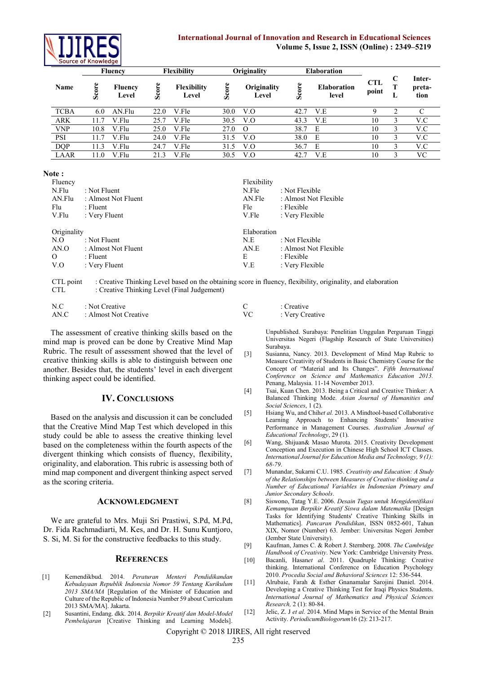

## **International Journal of Innovation and Research in Educational Sciences Volume 5, Issue 2, ISSN (Online) : 2349–5219**

|             |                      | <b>Fluency</b>          |       | <b>Flexibility</b>          |       | Originality          |       | <b>Elaboration</b>          |                     |        |                          |
|-------------|----------------------|-------------------------|-------|-----------------------------|-------|----------------------|-------|-----------------------------|---------------------|--------|--------------------------|
| Name        | ore<br>್ಯ            | <b>Fluency</b><br>Level | Score | <b>Flexibility</b><br>Level | Score | Originality<br>Level | Score | <b>Elaboration</b><br>level | <b>CTL</b><br>point | C<br>∸ | Inter-<br>preta-<br>tion |
| <b>TCBA</b> | 6.0                  | AN.Flu                  | 22.0  | V.Fle                       | 30.0  | V.O                  | 42.7  | V.E                         | 9                   | ◠      |                          |
| <b>ARK</b>  |                      | V.Flu                   | 25.7  | V.Fle                       | 30.5  | V.O                  | 43.3  | V.E                         | 10                  | 3      | V.C                      |
| <b>VNP</b>  | 10.8                 | V.Flu                   | 25.0  | V.Fle                       | 27.0  | $\Omega$             | 38.7  | E                           | 10                  | 3      | V.C                      |
| PSI         | 1.7                  | V.Flu                   | 24.0  | V.Fle                       | 31.5  | V.O                  | 38.0  | E                           | 10                  | 3      | V.C                      |
| <b>DQP</b>  | .3<br>$\overline{1}$ | V.Flu                   | 24.   | V.Fle                       | 31.5  | V.O                  | 36.7  | E                           | 10                  | 3      | V.C                      |
| LAAR        | 1.0                  | V.Flu                   | 21.3  | V.Fle                       | 30.5  | V.O                  | 42.7  | V.E                         | 10                  | 3      | VС                       |

**Note :**

| Fluency     |                     | Flexibility |                       |
|-------------|---------------------|-------------|-----------------------|
| N.Flu       | : Not Fluent        | N.Fle       | : Not Flexible        |
| AN.Flu      | : Almost Not Fluent | AN.Fle      | : Almost Not Flexible |
| Flu         | : Fluent            | Fle         | $:$ Flexible          |
| V.Flu       | : Very Fluent       | V.Fle       | : Very Flexible       |
| Originality |                     | Elaboration |                       |
| N.O         | : Not Fluent        | N.E         | : Not Flexible        |
| AN.O        | : Almost Not Fluent | AN.E        | : Almost Not Flexible |
| $\Omega$    | : Fluent            | Е           | $:$ Flexible          |
| V.O         | : Very Fluent       | V.E         | : Very Flexible       |
|             |                     |             |                       |

CTL point : Creative Thinking Level based on the obtaining score in fluency, flexibility, originality, and elaboration

CTL : Creative Thinking Level (Final Judgement)

| N.C  | : Not Creative        | : Creative      |
|------|-----------------------|-----------------|
| AN.C | : Almost Not Creative | : Very Creative |

The assessment of creative thinking skills based on the mind map is proved can be done by Creative Mind Map Rubric. The result of assessment showed that the level of creative thinking skills is able to distinguish between one another. Besides that, the students' level in each divergent thinking aspect could be identified.

# **IV. CONCLUSIONS**

Based on the analysis and discussion it can be concluded that the Creative Mind Map Test which developed in this study could be able to assess the creative thinking level based on the completeness within the fourth aspects of the divergent thinking which consists of fluency, flexibility, originality, and elaboration. This rubric is assessing both of mind map component and divergent thinking aspect served as the scoring criteria.

## **ACKNOWLEDGMENT**

We are grateful to Mrs. Muji Sri Prastiwi, S.Pd, M.Pd, Dr. Fida Rachmadiarti, M. Kes, and Dr. H. Sunu Kuntjoro, S. Si, M. Si for the constructive feedbacks to this study.

## **REFERENCES**

- [1] Kemendikbud. 2014. *Peraturan Menteri Pendidikandan Kebudayaan Republik Indonesia Nomor 59 Tentang Kurikulum 2013 SMA/MA* [Regulation of the Minister of Education and Culture of the Republic of Indonesia Number 59 about Curriculum 2013 SMA/MA]. Jakarta.
- [2] Susantini, Endang. dkk. 2014. *Berpikir Kreatif dan Model-Model Pembelajaran* [Creative Thinking and Learning Models].

| : Creative      |
|-----------------|
| : Very Creative |

Unpublished. Surabaya: Penelitian Unggulan Perguruan Tinggi Universitas Negeri (Flagship Research of State Universities) Surabaya.

- [3] Susianna, Nancy. 2013. Development of Mind Map Rubric to Measure Creativity of Students in Basic Chemistry Course for the Concept of "Material and Its Changes". *Fifth International Conference on Science and Mathematics Education 2013.* Penang, Malaysia. 11-14 November 2013.
- [4] Tsai, Kuan Chen. 2013. Being a Critical and Creative Thinker: A Balanced Thinking Mode. *Asian Journal of Humanities and Social Sciences*, 1 (2).
- [5] Hsiang Wu, and Chih*et al.* 2013. A Mindtool-based Collaborative Learning Approach to Enhancing Students' Innovative Performance in Management Courses. *Australian Journal of Educational Technology*, 29 (1).
- [6] Wang, Shijuan& Masao Murota. 2015. Creativity Development Conception and Execution in Chinese High School ICT Classes. *International Journal for Education Media and Technology, 9 (1): 68-79*.
- [7] Munandar, Sukarni C.U. 1985. *Creativity and Education: A Study of the Relationships between Measures of Creative thinking and a Number of Educational Variables in Indonesian Primary and Junior Secondary Schools*.
- [8] Siswono, Tatag Y.E. 2006. *Desain Tugas untuk Mengidentifikasi Kemampuan Berpikir Kreatif Siswa dalam Matematika* [Design Tasks for Identifying Students' Creative Thinking Skills in Mathematics]. *Pancaran Pendidikan*, ISSN 0852-601, Tahun XIX, Nomor (Number) 63. Jember: Universitas Negeri Jember (Jember State University).
- [9] Kaufman, James C. & Robert J. Sternberg. 2008. *The Cambridge Handbook of Creativity*. New York: Cambridge University Press.
- [10] Bacanli, Hasan*et al*. 2011. Quadruple Thinking: Creative thinking. International Conference on Education Psychology 2010. *Procedia Social and Behavioral Sciences* 12: 536-544.
- [11] Alrubaie, Farah & Esther Gnanamalar Sarojini Daniel. 2014. Developing a Creative Thinking Test for Iraqi Physics Students. *International Journal of Mathematics and Physical Sciences Research,* 2 (1): 80-84.
- [12] Jelic, Z. J *et al.* 2014. Mind Maps in Service of the Mental Brain Activity. *PeriodicumBiologorum*16 (2): 213-217.